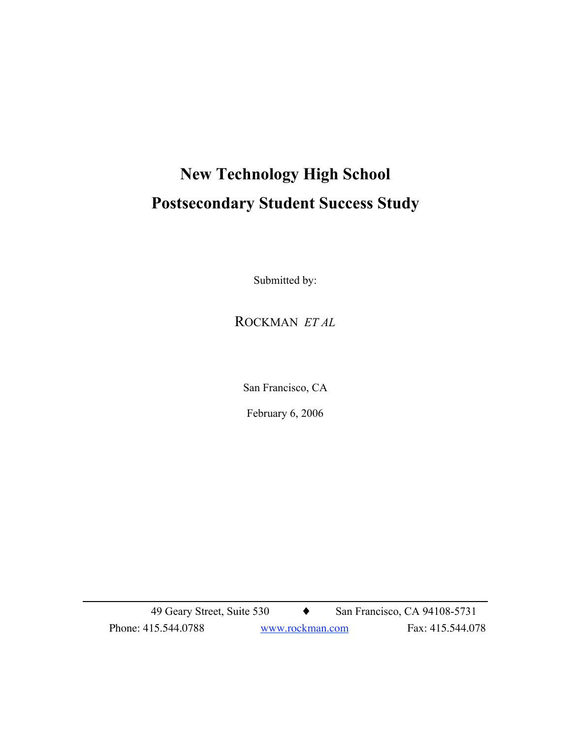# **New Technology High School Postsecondary Student Success Study**

Submitted by:

ROCKMAN *ET AL*

San Francisco, CA

February 6, 2006

49 Geary Street, Suite 530 ♦ San Francisco, CA 94108-5731 Phone: 415.544.0788 www.rockman.com Fax: 415.544.078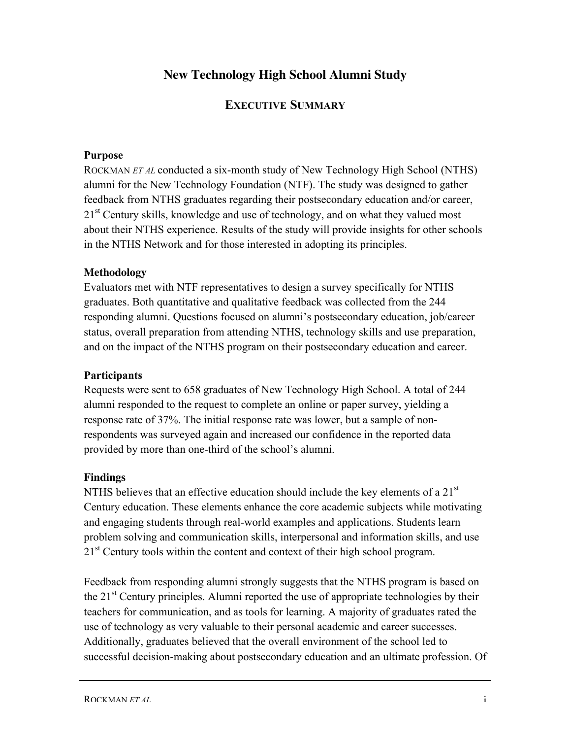# **New Technology High School Alumni Study**

## **EXECUTIVE SUMMARY**

#### **Purpose**

ROCKMAN *ET AL* conducted a six-month study of New Technology High School (NTHS) alumni for the New Technology Foundation (NTF). The study was designed to gather feedback from NTHS graduates regarding their postsecondary education and/or career, 21<sup>st</sup> Century skills, knowledge and use of technology, and on what they valued most about their NTHS experience. Results of the study will provide insights for other schools in the NTHS Network and for those interested in adopting its principles.

#### **Methodology**

Evaluators met with NTF representatives to design a survey specifically for NTHS graduates. Both quantitative and qualitative feedback was collected from the 244 responding alumni. Questions focused on alumni's postsecondary education, job/career status, overall preparation from attending NTHS, technology skills and use preparation, and on the impact of the NTHS program on their postsecondary education and career.

## **Participants**

Requests were sent to 658 graduates of New Technology High School. A total of 244 alumni responded to the request to complete an online or paper survey, yielding a response rate of 37%. The initial response rate was lower, but a sample of nonrespondents was surveyed again and increased our confidence in the reported data provided by more than one-third of the school's alumni.

## **Findings**

NTHS believes that an effective education should include the key elements of a  $21<sup>st</sup>$ Century education. These elements enhance the core academic subjects while motivating and engaging students through real-world examples and applications. Students learn problem solving and communication skills, interpersonal and information skills, and use  $21<sup>st</sup>$  Century tools within the content and context of their high school program.

Feedback from responding alumni strongly suggests that the NTHS program is based on the  $21<sup>st</sup>$  Century principles. Alumni reported the use of appropriate technologies by their teachers for communication, and as tools for learning. A majority of graduates rated the use of technology as very valuable to their personal academic and career successes. Additionally, graduates believed that the overall environment of the school led to successful decision-making about postsecondary education and an ultimate profession. Of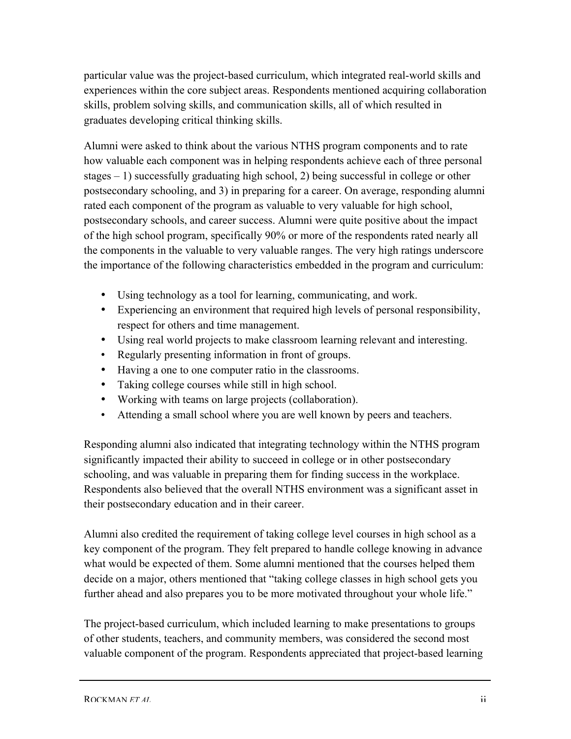particular value was the project-based curriculum, which integrated real-world skills and experiences within the core subject areas. Respondents mentioned acquiring collaboration skills, problem solving skills, and communication skills, all of which resulted in graduates developing critical thinking skills.

Alumni were asked to think about the various NTHS program components and to rate how valuable each component was in helping respondents achieve each of three personal stages – 1) successfully graduating high school, 2) being successful in college or other postsecondary schooling, and 3) in preparing for a career. On average, responding alumni rated each component of the program as valuable to very valuable for high school, postsecondary schools, and career success. Alumni were quite positive about the impact of the high school program, specifically 90% or more of the respondents rated nearly all the components in the valuable to very valuable ranges. The very high ratings underscore the importance of the following characteristics embedded in the program and curriculum:

- Using technology as a tool for learning, communicating, and work.
- Experiencing an environment that required high levels of personal responsibility, respect for others and time management.
- Using real world projects to make classroom learning relevant and interesting.
- Regularly presenting information in front of groups.
- Having a one to one computer ratio in the classrooms.
- Taking college courses while still in high school.
- Working with teams on large projects (collaboration).
- Attending a small school where you are well known by peers and teachers.

Responding alumni also indicated that integrating technology within the NTHS program significantly impacted their ability to succeed in college or in other postsecondary schooling, and was valuable in preparing them for finding success in the workplace. Respondents also believed that the overall NTHS environment was a significant asset in their postsecondary education and in their career.

Alumni also credited the requirement of taking college level courses in high school as a key component of the program. They felt prepared to handle college knowing in advance what would be expected of them. Some alumni mentioned that the courses helped them decide on a major, others mentioned that "taking college classes in high school gets you further ahead and also prepares you to be more motivated throughout your whole life."

The project-based curriculum, which included learning to make presentations to groups of other students, teachers, and community members, was considered the second most valuable component of the program. Respondents appreciated that project-based learning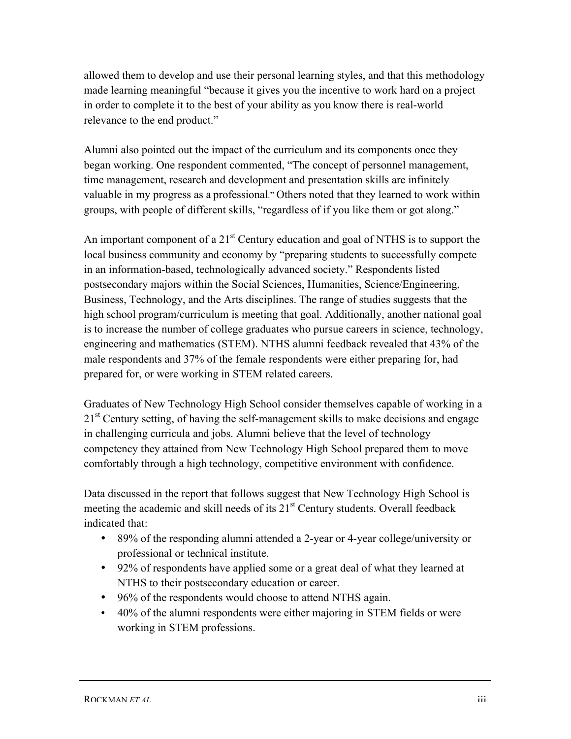allowed them to develop and use their personal learning styles, and that this methodology made learning meaningful "because it gives you the incentive to work hard on a project in order to complete it to the best of your ability as you know there is real-world relevance to the end product."

Alumni also pointed out the impact of the curriculum and its components once they began working. One respondent commented, "The concept of personnel management, time management, research and development and presentation skills are infinitely valuable in my progress as a professional." Others noted that they learned to work within groups, with people of different skills, "regardless of if you like them or got along."

An important component of a  $21<sup>st</sup>$  Century education and goal of NTHS is to support the local business community and economy by "preparing students to successfully compete in an information-based, technologically advanced society." Respondents listed postsecondary majors within the Social Sciences, Humanities, Science/Engineering, Business, Technology, and the Arts disciplines. The range of studies suggests that the high school program/curriculum is meeting that goal. Additionally, another national goal is to increase the number of college graduates who pursue careers in science, technology, engineering and mathematics (STEM). NTHS alumni feedback revealed that 43% of the male respondents and 37% of the female respondents were either preparing for, had prepared for, or were working in STEM related careers.

Graduates of New Technology High School consider themselves capable of working in a  $21<sup>st</sup>$  Century setting, of having the self-management skills to make decisions and engage in challenging curricula and jobs. Alumni believe that the level of technology competency they attained from New Technology High School prepared them to move comfortably through a high technology, competitive environment with confidence.

Data discussed in the report that follows suggest that New Technology High School is meeting the academic and skill needs of its  $21<sup>st</sup>$  Century students. Overall feedback indicated that:

- 89% of the responding alumni attended a 2-year or 4-year college/university or professional or technical institute.
- 92% of respondents have applied some or a great deal of what they learned at NTHS to their postsecondary education or career.
- 96% of the respondents would choose to attend NTHS again.
- 40% of the alumni respondents were either majoring in STEM fields or were working in STEM professions.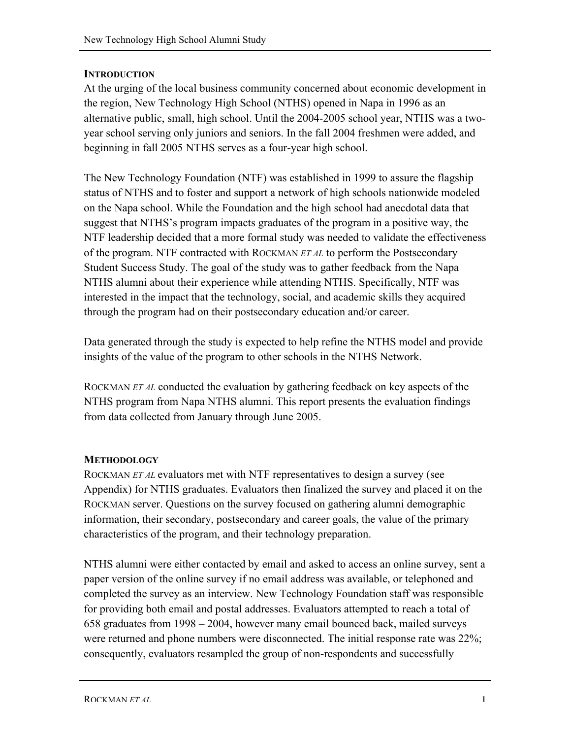## **INTRODUCTION**

At the urging of the local business community concerned about economic development in the region, New Technology High School (NTHS) opened in Napa in 1996 as an alternative public, small, high school. Until the 2004-2005 school year, NTHS was a twoyear school serving only juniors and seniors. In the fall 2004 freshmen were added, and beginning in fall 2005 NTHS serves as a four-year high school.

The New Technology Foundation (NTF) was established in 1999 to assure the flagship status of NTHS and to foster and support a network of high schools nationwide modeled on the Napa school. While the Foundation and the high school had anecdotal data that suggest that NTHS's program impacts graduates of the program in a positive way, the NTF leadership decided that a more formal study was needed to validate the effectiveness of the program. NTF contracted with ROCKMAN *ET AL* to perform the Postsecondary Student Success Study. The goal of the study was to gather feedback from the Napa NTHS alumni about their experience while attending NTHS. Specifically, NTF was interested in the impact that the technology, social, and academic skills they acquired through the program had on their postsecondary education and/or career.

Data generated through the study is expected to help refine the NTHS model and provide insights of the value of the program to other schools in the NTHS Network.

ROCKMAN *ET AL* conducted the evaluation by gathering feedback on key aspects of the NTHS program from Napa NTHS alumni. This report presents the evaluation findings from data collected from January through June 2005.

## **METHODOLOGY**

ROCKMAN *ET AL* evaluators met with NTF representatives to design a survey (see Appendix) for NTHS graduates. Evaluators then finalized the survey and placed it on the ROCKMAN server. Questions on the survey focused on gathering alumni demographic information, their secondary, postsecondary and career goals, the value of the primary characteristics of the program, and their technology preparation.

NTHS alumni were either contacted by email and asked to access an online survey, sent a paper version of the online survey if no email address was available, or telephoned and completed the survey as an interview. New Technology Foundation staff was responsible for providing both email and postal addresses. Evaluators attempted to reach a total of 658 graduates from 1998 – 2004, however many email bounced back, mailed surveys were returned and phone numbers were disconnected. The initial response rate was 22%; consequently, evaluators resampled the group of non-respondents and successfully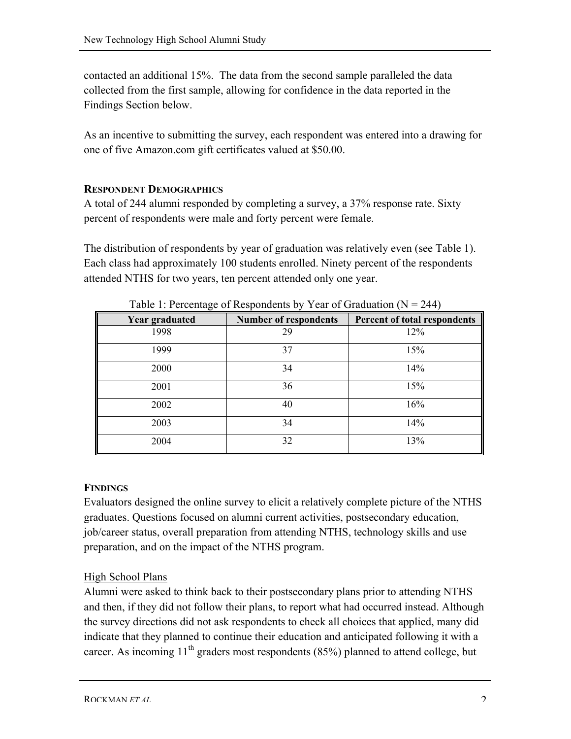contacted an additional 15%. The data from the second sample paralleled the data collected from the first sample, allowing for confidence in the data reported in the Findings Section below.

As an incentive to submitting the survey, each respondent was entered into a drawing for one of five Amazon.com gift certificates valued at \$50.00.

## **RESPONDENT DEMOGRAPHICS**

A total of 244 alumni responded by completing a survey, a 37% response rate. Sixty percent of respondents were male and forty percent were female.

The distribution of respondents by year of graduation was relatively even (see Table 1). Each class had approximately 100 students enrolled. Ninety percent of the respondents attended NTHS for two years, ten percent attended only one year.

| $1.1$ creating of responsions by $1.00$ cm or statement $1.1$ |                              |                              |  |  |  |  |
|---------------------------------------------------------------|------------------------------|------------------------------|--|--|--|--|
| <b>Year graduated</b>                                         | <b>Number of respondents</b> | Percent of total respondents |  |  |  |  |
| 1998                                                          | 29                           | 12%                          |  |  |  |  |
| 1999                                                          | 37                           | 15%                          |  |  |  |  |
| 2000                                                          | 34                           | 14%                          |  |  |  |  |
| 2001                                                          | 36                           | 15%                          |  |  |  |  |
| 2002                                                          | 40                           | 16%                          |  |  |  |  |
| 2003                                                          | 34                           | 14%                          |  |  |  |  |
| 2004                                                          | 32                           | 13%                          |  |  |  |  |

Table 1: Percentage of Respondents by Year of Graduation  $(N = 244)$ 

## **FINDINGS**

Evaluators designed the online survey to elicit a relatively complete picture of the NTHS graduates. Questions focused on alumni current activities, postsecondary education, job/career status, overall preparation from attending NTHS, technology skills and use preparation, and on the impact of the NTHS program.

## High School Plans

Alumni were asked to think back to their postsecondary plans prior to attending NTHS and then, if they did not follow their plans, to report what had occurred instead. Although the survey directions did not ask respondents to check all choices that applied, many did indicate that they planned to continue their education and anticipated following it with a career. As incoming  $11<sup>th</sup>$  graders most respondents (85%) planned to attend college, but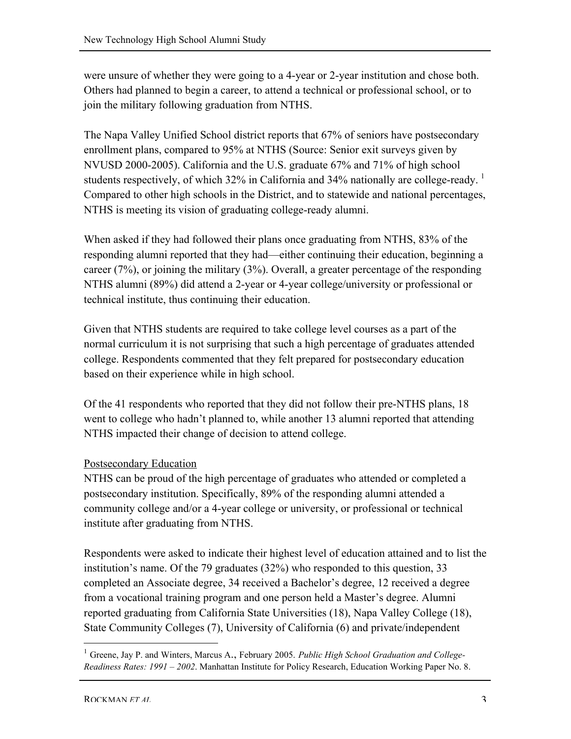were unsure of whether they were going to a 4-year or 2-year institution and chose both. Others had planned to begin a career, to attend a technical or professional school, or to join the military following graduation from NTHS.

The Napa Valley Unified School district reports that 67% of seniors have postsecondary enrollment plans, compared to 95% at NTHS (Source: Senior exit surveys given by NVUSD 2000-2005). California and the U.S. graduate 67% and 71% of high school students respectively, of which 32% in California and 34% nationally are college-ready.  $\frac{1}{1}$ Compared to other high schools in the District, and to statewide and national percentages, NTHS is meeting its vision of graduating college-ready alumni.

When asked if they had followed their plans once graduating from NTHS, 83% of the responding alumni reported that they had—either continuing their education, beginning a career (7%), or joining the military (3%). Overall, a greater percentage of the responding NTHS alumni (89%) did attend a 2-year or 4-year college/university or professional or technical institute, thus continuing their education.

Given that NTHS students are required to take college level courses as a part of the normal curriculum it is not surprising that such a high percentage of graduates attended college. Respondents commented that they felt prepared for postsecondary education based on their experience while in high school.

Of the 41 respondents who reported that they did not follow their pre-NTHS plans, 18 went to college who hadn't planned to, while another 13 alumni reported that attending NTHS impacted their change of decision to attend college.

## Postsecondary Education

NTHS can be proud of the high percentage of graduates who attended or completed a postsecondary institution. Specifically, 89% of the responding alumni attended a community college and/or a 4-year college or university, or professional or technical institute after graduating from NTHS.

Respondents were asked to indicate their highest level of education attained and to list the institution's name. Of the 79 graduates (32%) who responded to this question, 33 completed an Associate degree, 34 received a Bachelor's degree, 12 received a degree from a vocational training program and one person held a Master's degree. Alumni reported graduating from California State Universities (18), Napa Valley College (18), State Community Colleges (7), University of California (6) and private/independent

 <sup>1</sup> Greene, Jay P. and Winters, Marcus A., February 2005. *Public High School Graduation and College-Readiness Rates: 1991 – 2002*. Manhattan Institute for Policy Research, Education Working Paper No. 8.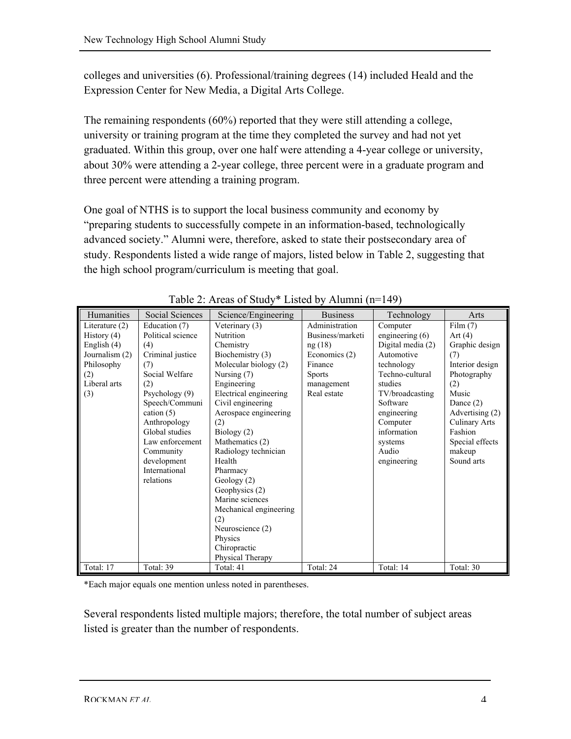colleges and universities (6). Professional/training degrees (14) included Heald and the Expression Center for New Media, a Digital Arts College.

The remaining respondents (60%) reported that they were still attending a college, university or training program at the time they completed the survey and had not yet graduated. Within this group, over one half were attending a 4-year college or university, about 30% were attending a 2-year college, three percent were in a graduate program and three percent were attending a training program.

One goal of NTHS is to support the local business community and economy by "preparing students to successfully compete in an information-based, technologically advanced society." Alumni were, therefore, asked to state their postsecondary area of study. Respondents listed a wide range of majors, listed below in Table 2, suggesting that the high school program/curriculum is meeting that goal.

| Humanities       | Social Sciences   | Science/Engineering    | <b>Business</b>  | Technology        | Arts                 |
|------------------|-------------------|------------------------|------------------|-------------------|----------------------|
| Literature $(2)$ | Education (7)     | Veterinary (3)         | Administration   | Computer          | Film (7)             |
| History $(4)$    | Political science | Nutrition              | Business/marketi | engineering $(6)$ | Art $(4)$            |
| English (4)      | (4)               | Chemistry              | ng(18)           | Digital media (2) | Graphic design       |
| Journalism (2)   | Criminal justice  | Biochemistry (3)       | Economics (2)    | Automotive        | (7)                  |
| Philosophy       | (7)               | Molecular biology (2)  | Finance          | technology        | Interior design      |
| (2)              | Social Welfare    | Nursing $(7)$          | <b>Sports</b>    | Techno-cultural   | Photography          |
| Liberal arts     | (2)               | Engineering            | management       | studies           | (2)                  |
| (3)              | Psychology (9)    | Electrical engineering | Real estate      | TV/broadcasting   | Music                |
|                  | Speech/Communi    | Civil engineering      |                  | Software          | Dance $(2)$          |
|                  | cation $(5)$      | Aerospace engineering  |                  | engineering       | Advertising (2)      |
|                  | Anthropology      | (2)                    |                  | Computer          | <b>Culinary Arts</b> |
|                  | Global studies    | Biology (2)            |                  | information       | Fashion              |
|                  | Law enforcement   | Mathematics (2)        |                  | systems           | Special effects      |
|                  | Community         | Radiology technician   |                  | Audio             | makeup               |
|                  | development       | Health                 |                  | engineering       | Sound arts           |
|                  | International     | Pharmacy               |                  |                   |                      |
|                  | relations         | Geology(2)             |                  |                   |                      |
|                  |                   | Geophysics (2)         |                  |                   |                      |
|                  |                   | Marine sciences        |                  |                   |                      |
|                  |                   | Mechanical engineering |                  |                   |                      |
|                  |                   | (2)                    |                  |                   |                      |
|                  |                   | Neuroscience (2)       |                  |                   |                      |
|                  |                   | Physics                |                  |                   |                      |
|                  |                   | Chiropractic           |                  |                   |                      |
|                  |                   | Physical Therapy       |                  |                   |                      |
| Total: 17        | Total: 39         | Total: 41              | Total: 24        | Total: 14         | Total: 30            |

Table 2: Areas of Study\* Listed by Alumni (n=149)

\*Each major equals one mention unless noted in parentheses.

Several respondents listed multiple majors; therefore, the total number of subject areas listed is greater than the number of respondents.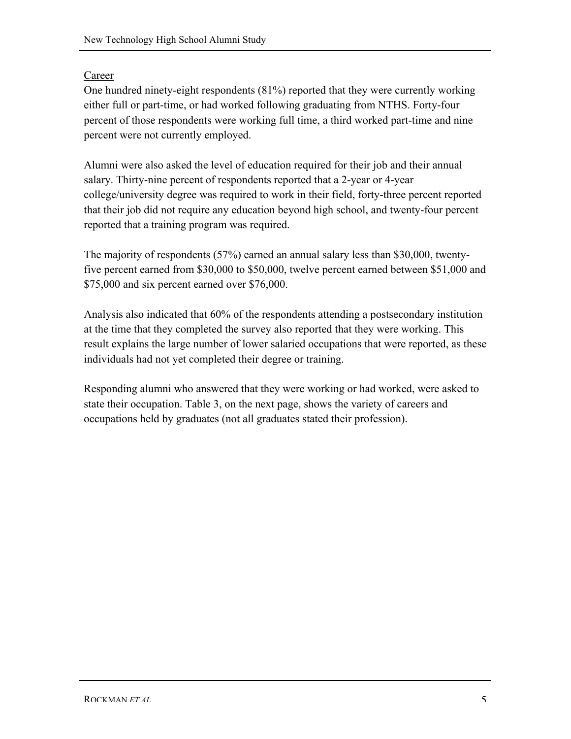## Career

One hundred ninety-eight respondents (81%) reported that they were currently working either full or part-time, or had worked following graduating from NTHS. Forty-four percent of those respondents were working full time, a third worked part-time and nine percent were not currently employed.

Alumni were also asked the level of education required for their job and their annual salary. Thirty-nine percent of respondents reported that a 2-year or 4-year college/university degree was required to work in their field, forty-three percent reported that their job did not require any education beyond high school, and twenty-four percent reported that a training program was required.

The majority of respondents (57%) earned an annual salary less than \$30,000, twentyfive percent earned from \$30,000 to \$50,000, twelve percent earned between \$51,000 and \$75,000 and six percent earned over \$76,000.

Analysis also indicated that 60% of the respondents attending a postsecondary institution at the time that they completed the survey also reported that they were working. This result explains the large number of lower salaried occupations that were reported, as these individuals had not yet completed their degree or training.

Responding alumni who answered that they were working or had worked, were asked to state their occupation. Table 3, on the next page, shows the variety of careers and occupations held by graduates (not all graduates stated their profession).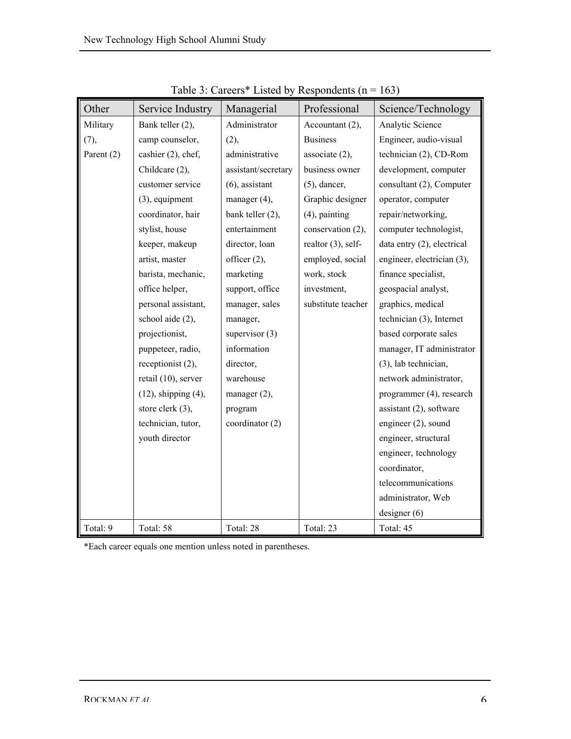| Other      | Service Industry          | Managerial          | Professional          | Science/Technology         |
|------------|---------------------------|---------------------|-----------------------|----------------------------|
| Military   | Bank teller (2),          | Administrator       | Accountant (2),       | Analytic Science           |
| (7),       | camp counselor,           | (2),                | <b>Business</b>       | Engineer, audio-visual     |
| Parent (2) | cashier (2), chef,        | administrative      | associate $(2)$ ,     | technician (2), CD-Rom     |
|            | Childcare (2),            | assistant/secretary | business owner        | development, computer      |
|            | customer service          | $(6)$ , assistant   | $(5)$ , dancer,       | consultant (2), Computer   |
|            | $(3)$ , equipment         | manager (4),        | Graphic designer      | operator, computer         |
|            | coordinator, hair         | bank teller (2),    | $(4)$ , painting      | repair/networking,         |
|            | stylist, house            | entertainment       | conservation (2),     | computer technologist,     |
|            | keeper, makeup            | director, loan      | realtor $(3)$ , self- | data entry (2), electrical |
|            | artist, master            | officer (2),        | employed, social      | engineer, electrician (3), |
|            | barista, mechanic,        | marketing           | work, stock           | finance specialist,        |
|            | office helper,            | support, office     | investment,           | geospacial analyst,        |
|            | personal assistant,       | manager, sales      | substitute teacher    | graphics, medical          |
|            | school aide (2),          | manager,            |                       | technician (3), Internet   |
|            | projectionist,            | supervisor $(3)$    |                       | based corporate sales      |
|            | puppeteer, radio,         | information         |                       | manager, IT administrator  |
|            | receptionist (2),         | director,           |                       | (3), lab technician,       |
|            | retail (10), server       | warehouse           |                       | network administrator,     |
|            | $(12)$ , shipping $(4)$ , | manager $(2)$ ,     |                       | programmer (4), research   |
|            | store clerk (3),          | program             |                       | assistant $(2)$ , software |
|            | technician, tutor,        | coordinator (2)     |                       | engineer (2), sound        |
|            | youth director            |                     |                       | engineer, structural       |
|            |                           |                     |                       | engineer, technology       |
|            |                           |                     |                       | coordinator,               |
|            |                           |                     |                       | telecommunications         |
|            |                           |                     |                       | administrator, Web         |
|            |                           |                     |                       | designer(6)                |
| Total: 9   | Total: 58                 | Total: 28           | Total: 23             | Total: 45                  |

Table 3: Careers\* Listed by Respondents  $(n = 163)$ 

\*Each career equals one mention unless noted in parentheses.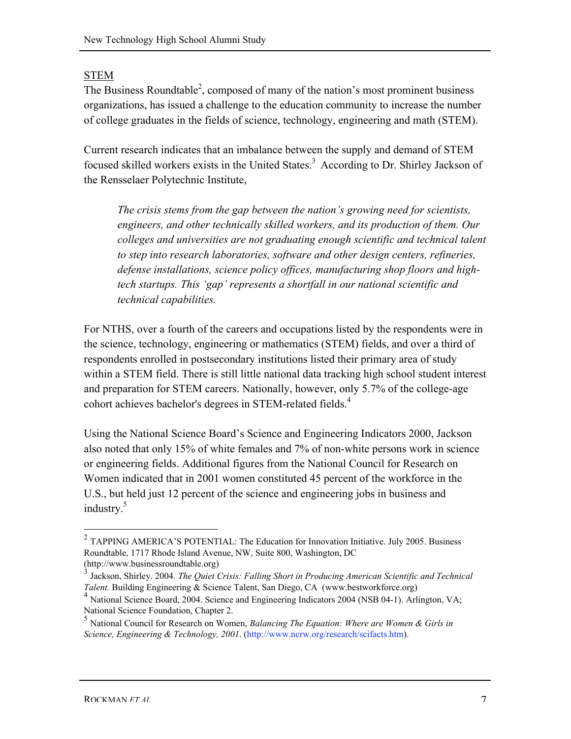## STEM

The Business Roundtable<sup>2</sup>, composed of many of the nation's most prominent business organizations, has issued a challenge to the education community to increase the number of college graduates in the fields of science, technology, engineering and math (STEM).

Current research indicates that an imbalance between the supply and demand of STEM focused skilled workers exists in the United States.<sup>3</sup> According to Dr. Shirley Jackson of the Rensselaer Polytechnic Institute,

*The crisis stems from the gap between the nation's growing need for scientists, engineers, and other technically skilled workers, and its production of them. Our colleges and universities are not graduating enough scientific and technical talent to step into research laboratories, software and other design centers, refineries, defense installations, science policy offices, manufacturing shop floors and hightech startups. This 'gap' represents a shortfall in our national scientific and technical capabilities.*

For NTHS, over a fourth of the careers and occupations listed by the respondents were in the science, technology, engineering or mathematics (STEM) fields, and over a third of respondents enrolled in postsecondary institutions listed their primary area of study within a STEM field. There is still little national data tracking high school student interest and preparation for STEM careers. Nationally, however, only 5.7% of the college-age cohort achieves bachelor's degrees in STEM-related fields.<sup>4</sup>

Using the National Science Board's Science and Engineering Indicators 2000, Jackson also noted that only 15% of white females and 7% of non-white persons work in science or engineering fields. Additional figures from the National Council for Research on Women indicated that in 2001 women constituted 45 percent of the workforce in the U.S., but held just 12 percent of the science and engineering jobs in business and industry.<sup>5</sup>

 $2$  TAPPING AMERICA'S POTENTIAL: The Education for Innovation Initiative. July 2005. Business Roundtable, 1717 Rhode Island Avenue, NW, Suite 800, Washington, DC (http://www.businessroundtable.org)

<sup>3</sup> Jackson, Shirley. 2004. *The Quiet Crisis: Falling Short in Producing American Scientific and Technical Talent.* Building Engineering & Science Talent, San Diego, CA (www.bestworkforce.org)

<sup>&</sup>lt;sup>4</sup> National Science Board, 2004. Science and Engineering Indicators 2004 (NSB 04-1). Arlington, VA; National Science Foundation, Chapter 2.

<sup>5</sup> National Council for Research on Women, *Balancing The Equation: Where are Women & Girls in Science, Engineering & Technology, 2001*. (http://www.ncrw.org/research/scifacts.htm).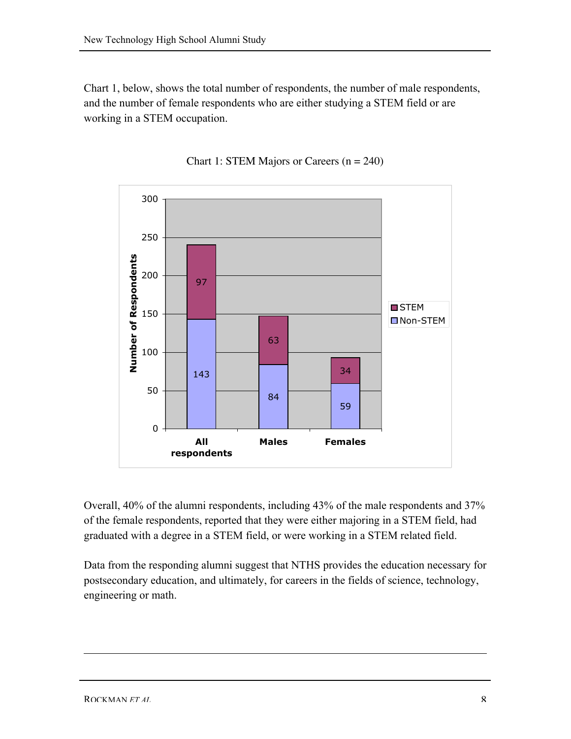Chart 1, below, shows the total number of respondents, the number of male respondents, and the number of female respondents who are either studying a STEM field or are working in a STEM occupation.



Chart 1: STEM Majors or Careers (n = 240)

Overall, 40% of the alumni respondents, including 43% of the male respondents and 37% of the female respondents, reported that they were either majoring in a STEM field, had graduated with a degree in a STEM field, or were working in a STEM related field.

Data from the responding alumni suggest that NTHS provides the education necessary for postsecondary education, and ultimately, for careers in the fields of science, technology, engineering or math.

 $\overline{a}$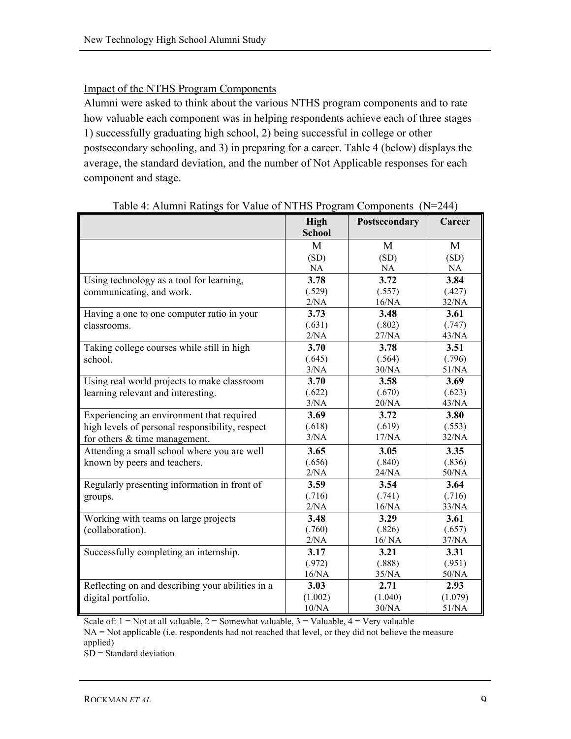# Impact of the NTHS Program Components

Alumni were asked to think about the various NTHS program components and to rate how valuable each component was in helping respondents achieve each of three stages – 1) successfully graduating high school, 2) being successful in college or other postsecondary schooling, and 3) in preparing for a career. Table 4 (below) displays the average, the standard deviation, and the number of Not Applicable responses for each component and stage.

|                                                  | High<br><b>School</b> | Postsecondary | Career  |
|--------------------------------------------------|-----------------------|---------------|---------|
|                                                  | M                     | M             | M       |
|                                                  | (SD)                  | (SD)          | (SD)    |
|                                                  | <b>NA</b>             | NA            | NA      |
| Using technology as a tool for learning,         | 3.78                  | 3.72          | 3.84    |
| communicating, and work.                         | (.529)                | (.557)        | (.427)  |
|                                                  | 2/NA                  | 16/NA         | 32/NA   |
| Having a one to one computer ratio in your       | 3.73                  | 3.48          | 3.61    |
| classrooms.                                      | (.631)                | (.802)        | (.747)  |
|                                                  | 2/NA                  | 27/NA         | 43/NA   |
| Taking college courses while still in high       | 3.70                  | 3.78          | 3.51    |
| school.                                          | (.645)                | (.564)        | (.796)  |
|                                                  | 3/NA                  | 30/NA         | 51/NA   |
| Using real world projects to make classroom      | 3.70                  | 3.58          | 3.69    |
| learning relevant and interesting.               | (.622)                | (.670)        | (.623)  |
|                                                  | 3/NA                  | 20/NA         | 43/NA   |
| Experiencing an environment that required        | 3.69                  | 3.72          | 3.80    |
| high levels of personal responsibility, respect  | (.618)                | (.619)        | (.553)  |
| for others $&$ time management.                  | 3/NA                  | 17/NA         | 32/NA   |
| Attending a small school where you are well      | 3.65                  | 3.05          | 3.35    |
| known by peers and teachers.                     | (.656)                | (.840)        | (.836)  |
|                                                  | 2/NA                  | 24/NA         | 50/NA   |
| Regularly presenting information in front of     | 3.59                  | 3.54          | 3.64    |
| groups.                                          | (.716)                | (.741)        | (.716)  |
|                                                  | 2/NA                  | 16/NA         | 33/NA   |
| Working with teams on large projects             | 3.48                  | 3.29          | 3.61    |
| (collaboration).                                 | (.760)                | (.826)        | (.657)  |
|                                                  | $2/NA$                | 16/NA         | 37/NA   |
| Successfully completing an internship.           | 3.17                  | 3.21          | 3.31    |
|                                                  | (.972)                | (.888)        | (.951)  |
|                                                  | 16/NA                 | 35/NA         | 50/NA   |
| Reflecting on and describing your abilities in a | 3.03                  | 2.71          | 2.93    |
| digital portfolio.                               | (1.002)               | (1.040)       | (1.079) |
|                                                  | 10/NA                 | 30/NA         | 51/NA   |

Table 4: Alumni Ratings for Value of NTHS Program Components (N=244)

Scale of:  $1 = Not$  at all valuable,  $2 = Somewhat$  valuable,  $3 = Valuable$ ,  $4 = Very$  valuable

NA = Not applicable (i.e. respondents had not reached that level, or they did not believe the measure applied)

 $SD = Standard deviation$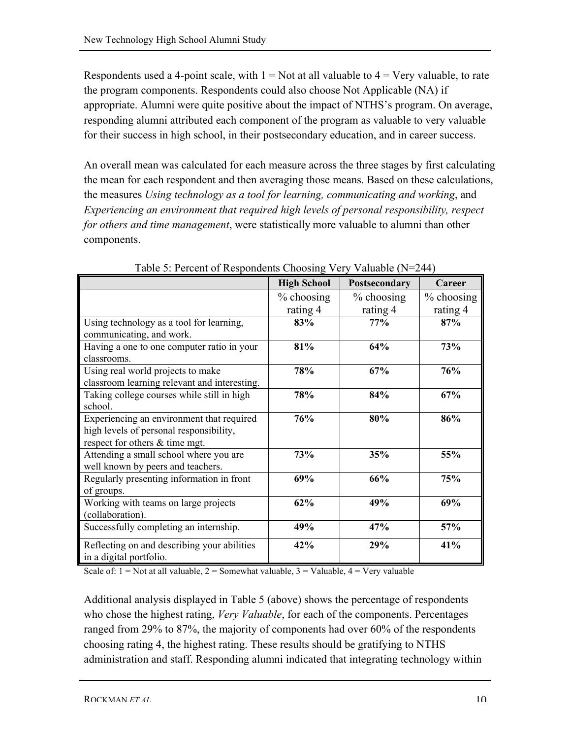Respondents used a 4-point scale, with  $1 = Not$  at all valuable to  $4 = Very$  valuable, to rate the program components. Respondents could also choose Not Applicable (NA) if appropriate. Alumni were quite positive about the impact of NTHS's program. On average, responding alumni attributed each component of the program as valuable to very valuable for their success in high school, in their postsecondary education, and in career success.

An overall mean was calculated for each measure across the three stages by first calculating the mean for each respondent and then averaging those means. Based on these calculations, the measures *Using technology as a tool for learning, communicating and working*, and *Experiencing an environment that required high levels of personal responsibility, respect for others and time management*, were statistically more valuable to alumni than other components.

|                                                                                                                        | <b>High School</b> | Postsecondary | Career     |
|------------------------------------------------------------------------------------------------------------------------|--------------------|---------------|------------|
|                                                                                                                        | $%$ choosing       | $%$ choosing  | % choosing |
|                                                                                                                        | rating 4           | rating 4      | rating 4   |
| Using technology as a tool for learning,<br>communicating, and work.                                                   | 83%                | 77%           | 87%        |
| Having a one to one computer ratio in your<br>classrooms.                                                              | 81%                | 64%           | <b>73%</b> |
| Using real world projects to make<br>classroom learning relevant and interesting.                                      | 78%                | 67%           | 76%        |
| Taking college courses while still in high<br>school.                                                                  | 78%                | 84%           | 67%        |
| Experiencing an environment that required<br>high levels of personal responsibility,<br>respect for others & time mgt. | 76%                | 80%           | 86%        |
| Attending a small school where you are<br>well known by peers and teachers.                                            | 73%                | 35%           | 55%        |
| Regularly presenting information in front<br>of groups.                                                                | 69%                | 66%           | 75%        |
| Working with teams on large projects<br>(collaboration).                                                               | 62%                | 49%           | 69%        |
| Successfully completing an internship.                                                                                 | 49%                | 47%           | 57%        |
| Reflecting on and describing your abilities<br>in a digital portfolio.                                                 | 42%                | 29%           | 41%        |

Table 5: Percent of Respondents Choosing Very Valuable (N=244)

Scale of:  $1 = Not$  at all valuable,  $2 = Somewhat$  valuable,  $3 = Valuable$ ,  $4 = Very$  valuable

Additional analysis displayed in Table 5 (above) shows the percentage of respondents who chose the highest rating, *Very Valuable*, for each of the components. Percentages ranged from 29% to 87%, the majority of components had over 60% of the respondents choosing rating 4, the highest rating. These results should be gratifying to NTHS administration and staff. Responding alumni indicated that integrating technology within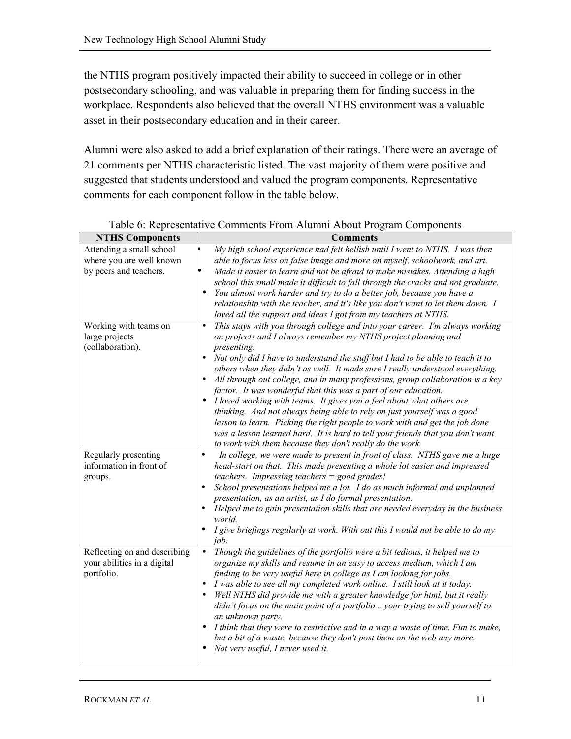the NTHS program positively impacted their ability to succeed in college or in other postsecondary schooling, and was valuable in preparing them for finding success in the workplace. Respondents also believed that the overall NTHS environment was a valuable asset in their postsecondary education and in their career.

Alumni were also asked to add a brief explanation of their ratings. There were an average of 21 comments per NTHS characteristic listed. The vast majority of them were positive and suggested that students understood and valued the program components. Representative comments for each component follow in the table below.

| <b>NTHS Components</b>       | <b>Comments</b>                                                                               |
|------------------------------|-----------------------------------------------------------------------------------------------|
| Attending a small school     | My high school experience had felt hellish until I went to NTHS. I was then                   |
| where you are well known     | able to focus less on false image and more on myself, schoolwork, and art.                    |
| by peers and teachers.       | Made it easier to learn and not be afraid to make mistakes. Attending a high                  |
|                              | school this small made it difficult to fall through the cracks and not graduate.              |
|                              | You almost work harder and try to do a better job, because you have a<br>$\bullet$            |
|                              | relationship with the teacher, and it's like you don't want to let them down. I               |
|                              | loved all the support and ideas I got from my teachers at NTHS.                               |
| Working with teams on        | This stays with you through college and into your career. I'm always working<br>$\bullet$     |
| large projects               | on projects and I always remember my NTHS project planning and                                |
| (collaboration).             | presenting.                                                                                   |
|                              | Not only did I have to understand the stuff but I had to be able to teach it to<br>$\bullet$  |
|                              | others when they didn't as well. It made sure I really understood everything.                 |
|                              | All through out college, and in many professions, group collaboration is a key<br>$\bullet$   |
|                              | factor. It was wonderful that this was a part of our education.                               |
|                              | I loved working with teams. It gives you a feel about what others are<br>$\bullet$            |
|                              | thinking. And not always being able to rely on just yourself was a good                       |
|                              | lesson to learn. Picking the right people to work with and get the job done                   |
|                              | was a lesson learned hard. It is hard to tell your friends that you don't want                |
|                              | to work with them because they don't really do the work.                                      |
| Regularly presenting         | In college, we were made to present in front of class. NTHS gave me a huge<br>$\bullet$       |
| information in front of      | head-start on that. This made presenting a whole lot easier and impressed                     |
| groups.                      | teachers. Impressing teachers $=$ good grades!                                                |
|                              | School presentations helped me a lot. I do as much informal and unplanned<br>$\bullet$        |
|                              | presentation, as an artist, as I do formal presentation.                                      |
|                              | Helped me to gain presentation skills that are needed everyday in the business<br>$\bullet$   |
|                              | world.                                                                                        |
|                              | $\bullet$<br>I give briefings regularly at work. With out this I would not be able to do my   |
|                              | job.<br>$\bullet$                                                                             |
| Reflecting on and describing | Though the guidelines of the portfolio were a bit tedious, it helped me to                    |
| your abilities in a digital  | organize my skills and resume in an easy to access medium, which I am                         |
| portfolio.                   | finding to be very useful here in college as I am looking for jobs.                           |
|                              | I was able to see all my completed work online. I still look at it today.<br>$\bullet$        |
|                              | Well NTHS did provide me with a greater knowledge for html, but it really<br>$\bullet$        |
|                              | didn't focus on the main point of a portfolio your trying to sell yourself to                 |
|                              | an unknown party.                                                                             |
|                              | I think that they were to restrictive and in a way a waste of time. Fun to make,<br>$\bullet$ |
|                              | but a bit of a waste, because they don't post them on the web any more.<br>$\bullet$          |
|                              | Not very useful, I never used it.                                                             |
|                              |                                                                                               |

Table 6: Representative Comments From Alumni About Program Components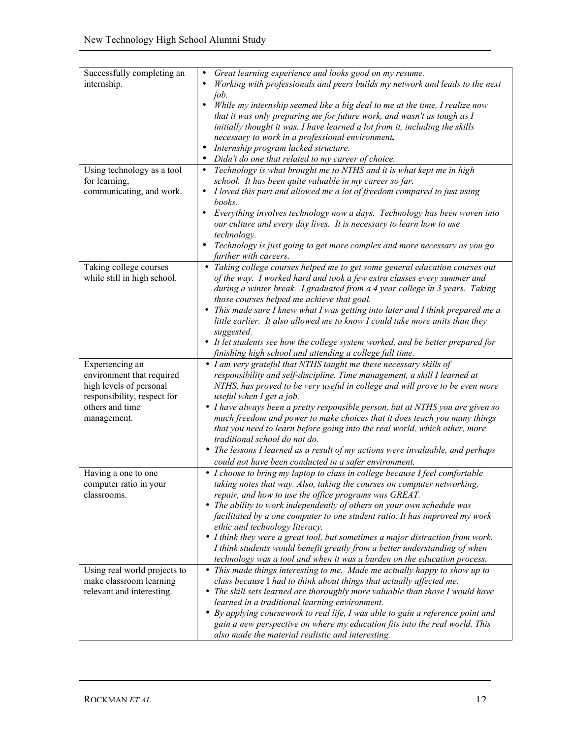| Successfully completing an   | Great learning experience and looks good on my resume.                                                                                            |
|------------------------------|---------------------------------------------------------------------------------------------------------------------------------------------------|
| internship.                  | Working with professionals and peers builds my network and leads to the next                                                                      |
|                              | job.                                                                                                                                              |
|                              | While my internship seemed like a big deal to me at the time, I realize now<br>$\bullet$                                                          |
|                              | that it was only preparing me for future work, and wasn't as tough as I                                                                           |
|                              | initially thought it was. I have learned a lot from it, including the skills                                                                      |
|                              | necessary to work in a professional environment.                                                                                                  |
|                              | Internship program lacked structure.                                                                                                              |
|                              | Didn't do one that related to my career of choice.                                                                                                |
| Using technology as a tool   | Technology is what brought me to NTHS and it is what kept me in high<br>$\bullet$                                                                 |
| for learning,                | school. It has been quite valuable in my career so far.                                                                                           |
| communicating, and work.     | I loved this part and allowed me a lot of freedom compared to just using<br>books.                                                                |
|                              | $\bullet$                                                                                                                                         |
|                              | Everything involves technology now a days. Technology has been woven into<br>our culture and every day lives. It is necessary to learn how to use |
|                              | technology.                                                                                                                                       |
|                              | Technology is just going to get more complex and more necessary as you go                                                                         |
|                              | further with careers.                                                                                                                             |
| Taking college courses       | • Taking college courses helped me to get some general education courses out                                                                      |
| while still in high school.  | of the way. I worked hard and took a few extra classes every summer and                                                                           |
|                              | during a winter break. I graduated from a 4 year college in 3 years. Taking                                                                       |
|                              | those courses helped me achieve that goal.                                                                                                        |
|                              | • This made sure I knew what I was getting into later and I think prepared me a                                                                   |
|                              | little earlier. It also allowed me to know I could take more units than they                                                                      |
|                              | suggested.                                                                                                                                        |
|                              | • It let students see how the college system worked, and be better prepared for                                                                   |
|                              | finishing high school and attending a college full time.                                                                                          |
|                              | • I am very grateful that NTHS taught me these necessary skills of                                                                                |
| Experiencing an              |                                                                                                                                                   |
| environment that required    | responsibility and self-discipline. Time management, a skill I learned at                                                                         |
| high levels of personal      | NTHS, has proved to be very useful in college and will prove to be even more                                                                      |
| responsibility, respect for  | useful when I get a job.                                                                                                                          |
| others and time              | • I have always been a pretty responsible person, but at NTHS you are given so                                                                    |
| management.                  | much freedom and power to make choices that it does teach you many things                                                                         |
|                              | that you need to learn before going into the real world, which other, more                                                                        |
|                              | traditional school do not do.                                                                                                                     |
|                              | • The lessons I learned as a result of my actions were invaluable, and perhaps                                                                    |
|                              | could not have been conducted in a safer environment.                                                                                             |
| Having a one to one          | • I choose to bring my laptop to class in college because I feel comfortable                                                                      |
| computer ratio in your       | taking notes that way. Also, taking the courses on computer networking,                                                                           |
| classrooms.                  | repair, and how to use the office programs was GREAT.                                                                                             |
|                              | • The ability to work independently of others on your own schedule was                                                                            |
|                              | facilitated by a one computer to one student ratio. It has improved my work                                                                       |
|                              | ethic and technology literacy.                                                                                                                    |
|                              | • I think they were a great tool, but sometimes a major distraction from work.                                                                    |
|                              | I think students would benefit greatly from a better understanding of when                                                                        |
|                              | technology was a tool and when it was a burden on the education process.                                                                          |
| Using real world projects to | • This made things interesting to me. Made me actually happy to show up to                                                                        |
| make classroom learning      | class because I had to think about things that actually affected me.                                                                              |
| relevant and interesting.    | • The skill sets learned are thoroughly more valuable than those I would have                                                                     |
|                              | learned in a traditional learning environment.                                                                                                    |
|                              | • By applying coursework to real life, I was able to gain a reference point and                                                                   |
|                              | gain a new perspective on where my education fits into the real world. This                                                                       |
|                              | also made the material realistic and interesting.                                                                                                 |
|                              |                                                                                                                                                   |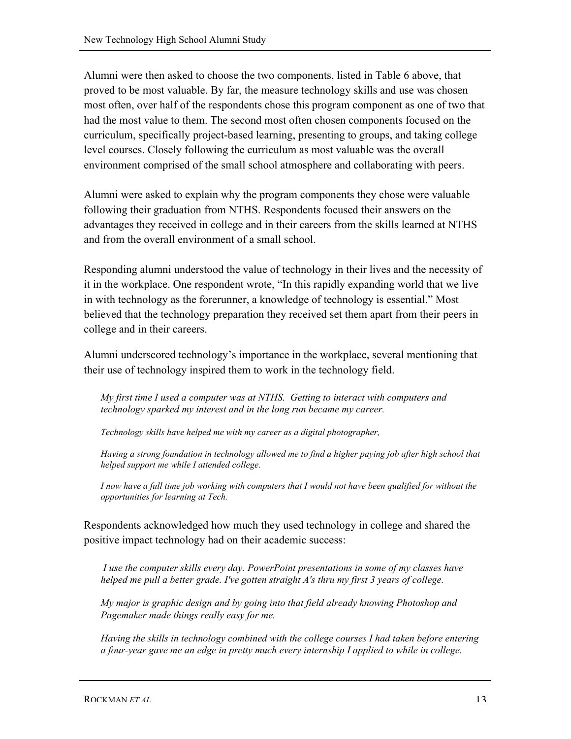Alumni were then asked to choose the two components, listed in Table 6 above, that proved to be most valuable. By far, the measure technology skills and use was chosen most often, over half of the respondents chose this program component as one of two that had the most value to them. The second most often chosen components focused on the curriculum, specifically project-based learning, presenting to groups, and taking college level courses. Closely following the curriculum as most valuable was the overall environment comprised of the small school atmosphere and collaborating with peers.

Alumni were asked to explain why the program components they chose were valuable following their graduation from NTHS. Respondents focused their answers on the advantages they received in college and in their careers from the skills learned at NTHS and from the overall environment of a small school.

Responding alumni understood the value of technology in their lives and the necessity of it in the workplace. One respondent wrote, "In this rapidly expanding world that we live in with technology as the forerunner, a knowledge of technology is essential." Most believed that the technology preparation they received set them apart from their peers in college and in their careers.

Alumni underscored technology's importance in the workplace, several mentioning that their use of technology inspired them to work in the technology field.

*My first time I used a computer was at NTHS. Getting to interact with computers and technology sparked my interest and in the long run became my career.*

*Technology skills have helped me with my career as a digital photographer,*

*Having a strong foundation in technology allowed me to find a higher paying job after high school that helped support me while I attended college.*

*I now have a full time job working with computers that I would not have been qualified for without the opportunities for learning at Tech.*

Respondents acknowledged how much they used technology in college and shared the positive impact technology had on their academic success:

 *I use the computer skills every day. PowerPoint presentations in some of my classes have helped me pull a better grade. I've gotten straight A's thru my first 3 years of college.*

*My major is graphic design and by going into that field already knowing Photoshop and Pagemaker made things really easy for me.*

*Having the skills in technology combined with the college courses I had taken before entering a four-year gave me an edge in pretty much every internship I applied to while in college.*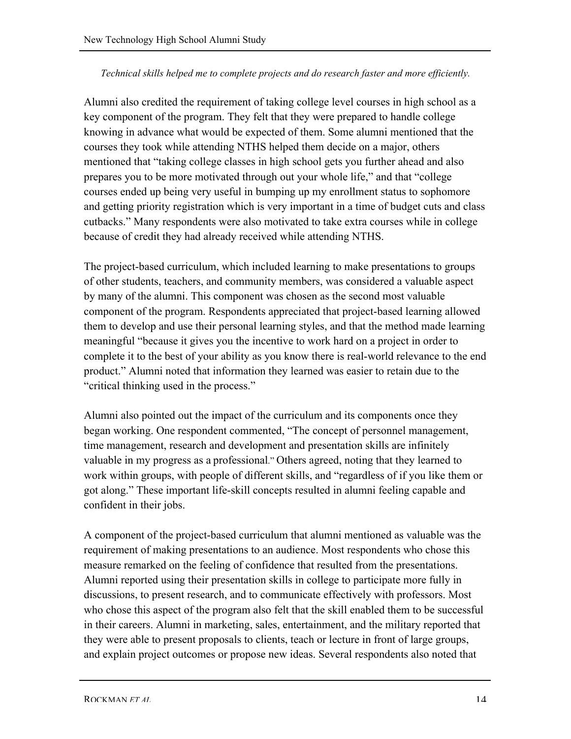#### *Technical skills helped me to complete projects and do research faster and more efficiently.*

Alumni also credited the requirement of taking college level courses in high school as a key component of the program. They felt that they were prepared to handle college knowing in advance what would be expected of them. Some alumni mentioned that the courses they took while attending NTHS helped them decide on a major, others mentioned that "taking college classes in high school gets you further ahead and also prepares you to be more motivated through out your whole life," and that "college courses ended up being very useful in bumping up my enrollment status to sophomore and getting priority registration which is very important in a time of budget cuts and class cutbacks." Many respondents were also motivated to take extra courses while in college because of credit they had already received while attending NTHS.

The project-based curriculum, which included learning to make presentations to groups of other students, teachers, and community members, was considered a valuable aspect by many of the alumni. This component was chosen as the second most valuable component of the program. Respondents appreciated that project-based learning allowed them to develop and use their personal learning styles, and that the method made learning meaningful "because it gives you the incentive to work hard on a project in order to complete it to the best of your ability as you know there is real-world relevance to the end product." Alumni noted that information they learned was easier to retain due to the "critical thinking used in the process."

Alumni also pointed out the impact of the curriculum and its components once they began working. One respondent commented, "The concept of personnel management, time management, research and development and presentation skills are infinitely valuable in my progress as a professional." Others agreed, noting that they learned to work within groups, with people of different skills, and "regardless of if you like them or got along." These important life-skill concepts resulted in alumni feeling capable and confident in their jobs.

A component of the project-based curriculum that alumni mentioned as valuable was the requirement of making presentations to an audience. Most respondents who chose this measure remarked on the feeling of confidence that resulted from the presentations. Alumni reported using their presentation skills in college to participate more fully in discussions, to present research, and to communicate effectively with professors. Most who chose this aspect of the program also felt that the skill enabled them to be successful in their careers. Alumni in marketing, sales, entertainment, and the military reported that they were able to present proposals to clients, teach or lecture in front of large groups, and explain project outcomes or propose new ideas. Several respondents also noted that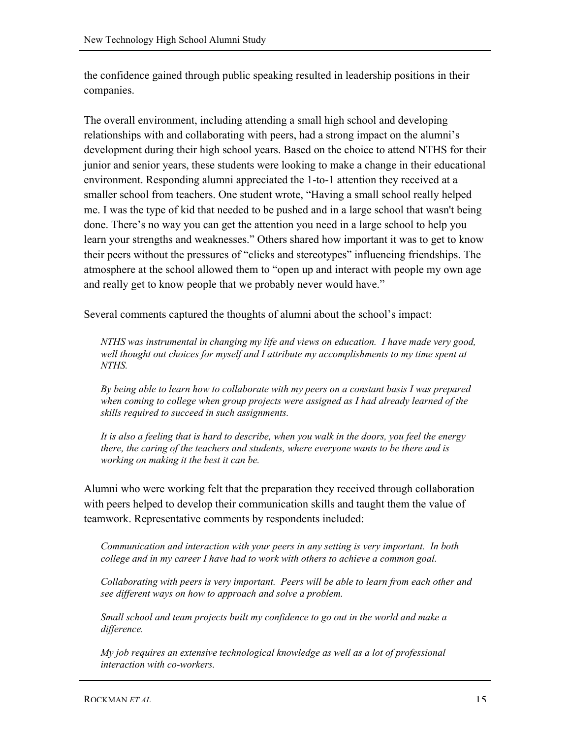the confidence gained through public speaking resulted in leadership positions in their companies.

The overall environment, including attending a small high school and developing relationships with and collaborating with peers, had a strong impact on the alumni's development during their high school years. Based on the choice to attend NTHS for their junior and senior years, these students were looking to make a change in their educational environment. Responding alumni appreciated the 1-to-1 attention they received at a smaller school from teachers. One student wrote, "Having a small school really helped me. I was the type of kid that needed to be pushed and in a large school that wasn't being done. There's no way you can get the attention you need in a large school to help you learn your strengths and weaknesses." Others shared how important it was to get to know their peers without the pressures of "clicks and stereotypes" influencing friendships. The atmosphere at the school allowed them to "open up and interact with people my own age and really get to know people that we probably never would have."

Several comments captured the thoughts of alumni about the school's impact:

*NTHS was instrumental in changing my life and views on education. I have made very good, well thought out choices for myself and I attribute my accomplishments to my time spent at NTHS.*

*By being able to learn how to collaborate with my peers on a constant basis I was prepared when coming to college when group projects were assigned as I had already learned of the skills required to succeed in such assignments.*

*It is also a feeling that is hard to describe, when you walk in the doors, you feel the energy there, the caring of the teachers and students, where everyone wants to be there and is working on making it the best it can be.*

Alumni who were working felt that the preparation they received through collaboration with peers helped to develop their communication skills and taught them the value of teamwork. Representative comments by respondents included:

*Communication and interaction with your peers in any setting is very important. In both college and in my career I have had to work with others to achieve a common goal.*

*Collaborating with peers is very important. Peers will be able to learn from each other and see different ways on how to approach and solve a problem.*

*Small school and team projects built my confidence to go out in the world and make a difference.*

*My job requires an extensive technological knowledge as well as a lot of professional interaction with co-workers.*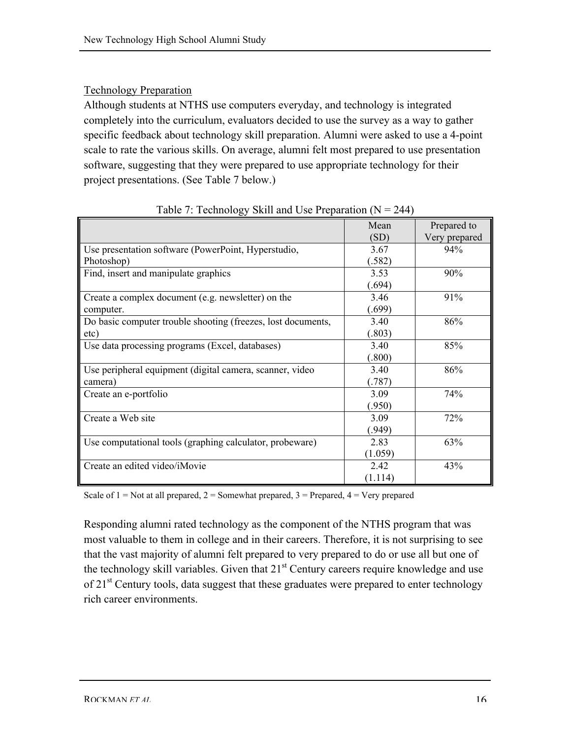## Technology Preparation

Although students at NTHS use computers everyday, and technology is integrated completely into the curriculum, evaluators decided to use the survey as a way to gather specific feedback about technology skill preparation. Alumni were asked to use a 4-point scale to rate the various skills. On average, alumni felt most prepared to use presentation software, suggesting that they were prepared to use appropriate technology for their project presentations. (See Table 7 below.)

|                                                              | Mean    | Prepared to   |
|--------------------------------------------------------------|---------|---------------|
|                                                              | (SD)    | Very prepared |
| Use presentation software (PowerPoint, Hyperstudio,          | 3.67    | 94%           |
| Photoshop)                                                   | (.582)  |               |
| Find, insert and manipulate graphics                         | 3.53    | 90%           |
|                                                              | (.694)  |               |
| Create a complex document (e.g. newsletter) on the           | 3.46    | 91%           |
| computer.                                                    | (.699)  |               |
| Do basic computer trouble shooting (freezes, lost documents, | 3.40    | 86%           |
| etc)                                                         | (.803)  |               |
| Use data processing programs (Excel, databases)              | 3.40    | 85%           |
|                                                              | (.800)  |               |
| Use peripheral equipment (digital camera, scanner, video     | 3.40    | 86%           |
| camera)                                                      | (787)   |               |
| Create an e-portfolio                                        | 3.09    | 74%           |
|                                                              | (950)   |               |
| Create a Web site                                            | 3.09    | 72%           |
|                                                              | (949)   |               |
| Use computational tools (graphing calculator, probeware)     | 2.83    | 63%           |
|                                                              | (1.059) |               |
| Create an edited video/iMovie                                | 2.42    | 43%           |
|                                                              | (1.114) |               |

Table 7: Technology Skill and Use Preparation ( $N = 244$ )

Scale of  $1 = Not$  at all prepared,  $2 = Somewhat$  prepared,  $3 = Prepared$ ,  $4 = Very$  prepared

Responding alumni rated technology as the component of the NTHS program that was most valuable to them in college and in their careers. Therefore, it is not surprising to see that the vast majority of alumni felt prepared to very prepared to do or use all but one of the technology skill variables. Given that  $21<sup>st</sup>$  Century careers require knowledge and use of  $21<sup>st</sup>$  Century tools, data suggest that these graduates were prepared to enter technology rich career environments.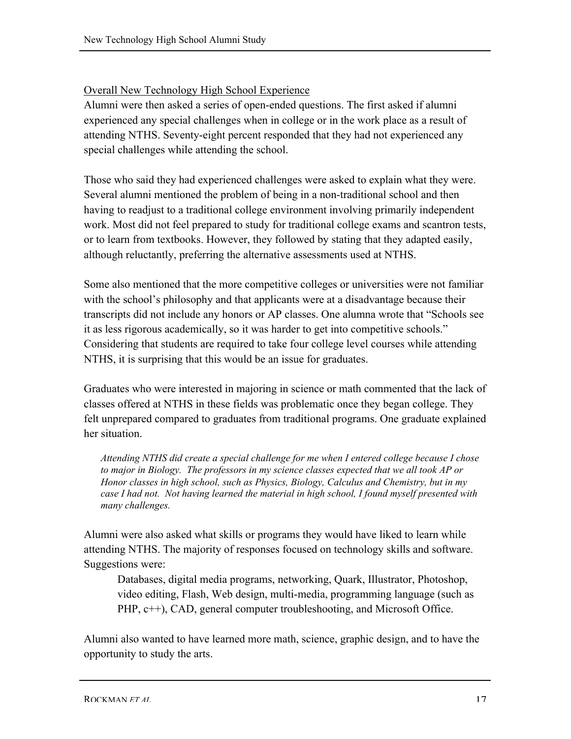## Overall New Technology High School Experience

Alumni were then asked a series of open-ended questions. The first asked if alumni experienced any special challenges when in college or in the work place as a result of attending NTHS. Seventy-eight percent responded that they had not experienced any special challenges while attending the school.

Those who said they had experienced challenges were asked to explain what they were. Several alumni mentioned the problem of being in a non-traditional school and then having to readjust to a traditional college environment involving primarily independent work. Most did not feel prepared to study for traditional college exams and scantron tests, or to learn from textbooks. However, they followed by stating that they adapted easily, although reluctantly, preferring the alternative assessments used at NTHS.

Some also mentioned that the more competitive colleges or universities were not familiar with the school's philosophy and that applicants were at a disadvantage because their transcripts did not include any honors or AP classes. One alumna wrote that "Schools see it as less rigorous academically, so it was harder to get into competitive schools." Considering that students are required to take four college level courses while attending NTHS, it is surprising that this would be an issue for graduates.

Graduates who were interested in majoring in science or math commented that the lack of classes offered at NTHS in these fields was problematic once they began college. They felt unprepared compared to graduates from traditional programs. One graduate explained her situation.

*Attending NTHS did create a special challenge for me when I entered college because I chose to major in Biology. The professors in my science classes expected that we all took AP or Honor classes in high school, such as Physics, Biology, Calculus and Chemistry, but in my case I had not. Not having learned the material in high school, I found myself presented with many challenges.*

Alumni were also asked what skills or programs they would have liked to learn while attending NTHS. The majority of responses focused on technology skills and software. Suggestions were:

Databases, digital media programs, networking, Quark, Illustrator, Photoshop, video editing, Flash, Web design, multi-media, programming language (such as PHP, c++), CAD, general computer troubleshooting, and Microsoft Office.

Alumni also wanted to have learned more math, science, graphic design, and to have the opportunity to study the arts.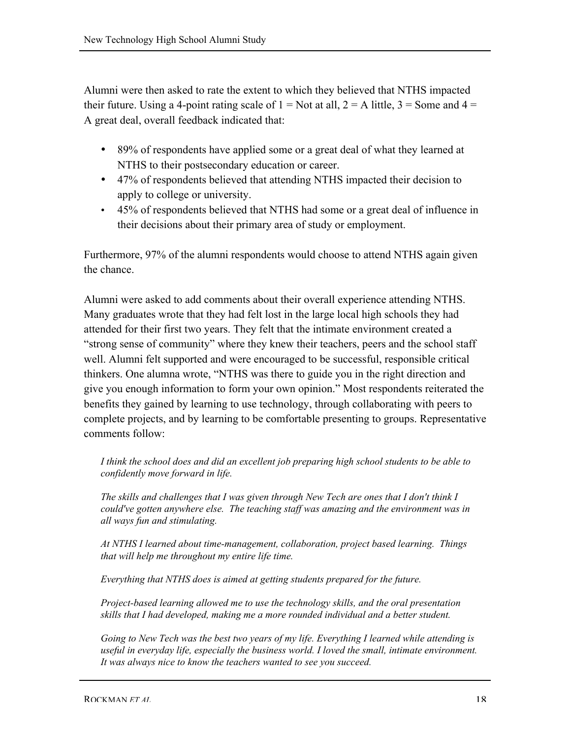Alumni were then asked to rate the extent to which they believed that NTHS impacted their future. Using a 4-point rating scale of  $1 = Not$  at all,  $2 = A$  little,  $3 = Some$  and  $4 =$ A great deal, overall feedback indicated that:

- 89% of respondents have applied some or a great deal of what they learned at NTHS to their postsecondary education or career.
- 47% of respondents believed that attending NTHS impacted their decision to apply to college or university.
- 45% of respondents believed that NTHS had some or a great deal of influence in their decisions about their primary area of study or employment.

Furthermore, 97% of the alumni respondents would choose to attend NTHS again given the chance.

Alumni were asked to add comments about their overall experience attending NTHS. Many graduates wrote that they had felt lost in the large local high schools they had attended for their first two years. They felt that the intimate environment created a "strong sense of community" where they knew their teachers, peers and the school staff well. Alumni felt supported and were encouraged to be successful, responsible critical thinkers. One alumna wrote, "NTHS was there to guide you in the right direction and give you enough information to form your own opinion." Most respondents reiterated the benefits they gained by learning to use technology, through collaborating with peers to complete projects, and by learning to be comfortable presenting to groups. Representative comments follow:

*I think the school does and did an excellent job preparing high school students to be able to confidently move forward in life.*

*The skills and challenges that I was given through New Tech are ones that I don't think I could've gotten anywhere else. The teaching staff was amazing and the environment was in all ways fun and stimulating.*

*At NTHS I learned about time-management, collaboration, project based learning. Things that will help me throughout my entire life time.*

*Everything that NTHS does is aimed at getting students prepared for the future.*

*Project-based learning allowed me to use the technology skills, and the oral presentation skills that I had developed, making me a more rounded individual and a better student.*

*Going to New Tech was the best two years of my life. Everything I learned while attending is useful in everyday life, especially the business world. I loved the small, intimate environment. It was always nice to know the teachers wanted to see you succeed.*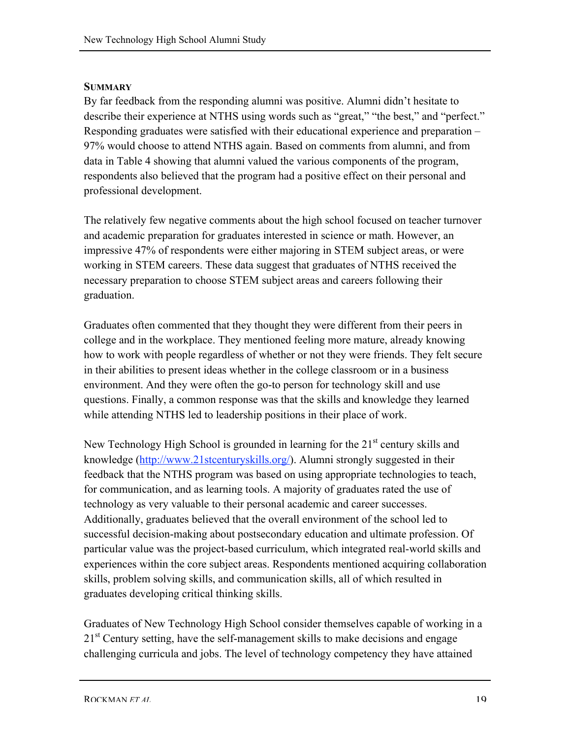## **SUMMARY**

By far feedback from the responding alumni was positive. Alumni didn't hesitate to describe their experience at NTHS using words such as "great," "the best," and "perfect." Responding graduates were satisfied with their educational experience and preparation – 97% would choose to attend NTHS again. Based on comments from alumni, and from data in Table 4 showing that alumni valued the various components of the program, respondents also believed that the program had a positive effect on their personal and professional development.

The relatively few negative comments about the high school focused on teacher turnover and academic preparation for graduates interested in science or math. However, an impressive 47% of respondents were either majoring in STEM subject areas, or were working in STEM careers. These data suggest that graduates of NTHS received the necessary preparation to choose STEM subject areas and careers following their graduation.

Graduates often commented that they thought they were different from their peers in college and in the workplace. They mentioned feeling more mature, already knowing how to work with people regardless of whether or not they were friends. They felt secure in their abilities to present ideas whether in the college classroom or in a business environment. And they were often the go-to person for technology skill and use questions. Finally, a common response was that the skills and knowledge they learned while attending NTHS led to leadership positions in their place of work.

New Technology High School is grounded in learning for the  $21<sup>st</sup>$  century skills and knowledge (http://www.21stcenturyskills.org/). Alumni strongly suggested in their feedback that the NTHS program was based on using appropriate technologies to teach, for communication, and as learning tools. A majority of graduates rated the use of technology as very valuable to their personal academic and career successes. Additionally, graduates believed that the overall environment of the school led to successful decision-making about postsecondary education and ultimate profession. Of particular value was the project-based curriculum, which integrated real-world skills and experiences within the core subject areas. Respondents mentioned acquiring collaboration skills, problem solving skills, and communication skills, all of which resulted in graduates developing critical thinking skills.

Graduates of New Technology High School consider themselves capable of working in a 21<sup>st</sup> Century setting, have the self-management skills to make decisions and engage challenging curricula and jobs. The level of technology competency they have attained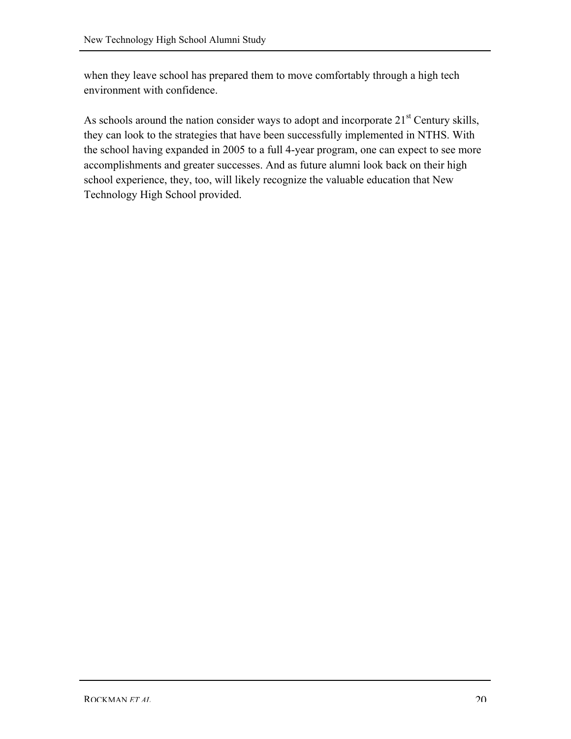when they leave school has prepared them to move comfortably through a high tech environment with confidence.

As schools around the nation consider ways to adopt and incorporate  $21<sup>st</sup>$  Century skills, they can look to the strategies that have been successfully implemented in NTHS. With the school having expanded in 2005 to a full 4-year program, one can expect to see more accomplishments and greater successes. And as future alumni look back on their high school experience, they, too, will likely recognize the valuable education that New Technology High School provided.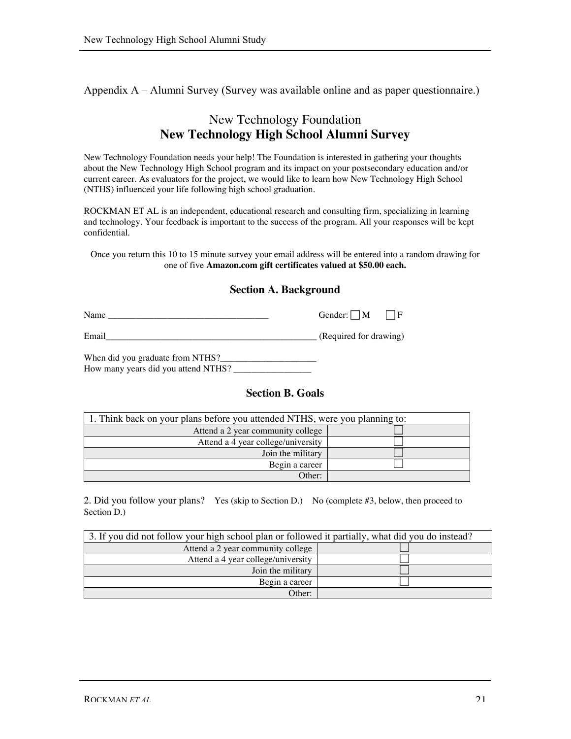Appendix A – Alumni Survey (Survey was available online and as paper questionnaire.)

## New Technology Foundation **New Technology High School Alumni Survey**

New Technology Foundation needs your help! The Foundation is interested in gathering your thoughts about the New Technology High School program and its impact on your postsecondary education and/or current career. As evaluators for the project, we would like to learn how New Technology High School (NTHS) influenced your life following high school graduation.

ROCKMAN ET AL is an independent, educational research and consulting firm, specializing in learning and technology. Your feedback is important to the success of the program. All your responses will be kept confidential.

Once you return this 10 to 15 minute survey your email address will be entered into a random drawing for one of five **Amazon.com gift certificates valued at \$50.00 each.**

#### **Section A. Background**

Name \_\_\_\_\_\_\_\_\_\_\_\_\_\_\_\_\_\_\_\_\_\_\_\_\_\_\_\_\_\_\_\_\_\_\_ Gender: M F

Email\_\_\_\_\_\_\_\_\_\_\_\_\_\_\_\_\_\_\_\_\_\_\_\_\_\_\_\_\_\_\_\_\_\_\_\_\_\_\_\_\_\_\_\_\_\_ (Required for drawing)

When did you graduate from NTHS?\_ How many years did you attend NTHS? \_\_\_\_\_\_\_\_\_\_\_\_\_\_\_\_\_

#### **Section B. Goals**

| 1. Think back on your plans before you attended NTHS, were you planning to: |  |  |  |  |
|-----------------------------------------------------------------------------|--|--|--|--|
| Attend a 2 year community college                                           |  |  |  |  |
| Attend a 4 year college/university                                          |  |  |  |  |
| Join the military                                                           |  |  |  |  |
| Begin a career                                                              |  |  |  |  |
| Other:                                                                      |  |  |  |  |

2. Did you follow your plans? Yes (skip to Section D.) No (complete #3, below, then proceed to Section D.)

| 3. If you did not follow your high school plan or followed it partially, what did you do instead? |  |  |  |  |  |
|---------------------------------------------------------------------------------------------------|--|--|--|--|--|
| Attend a 2 year community college                                                                 |  |  |  |  |  |
| Attend a 4 year college/university                                                                |  |  |  |  |  |
| Join the military                                                                                 |  |  |  |  |  |
| Begin a career                                                                                    |  |  |  |  |  |
| Other:                                                                                            |  |  |  |  |  |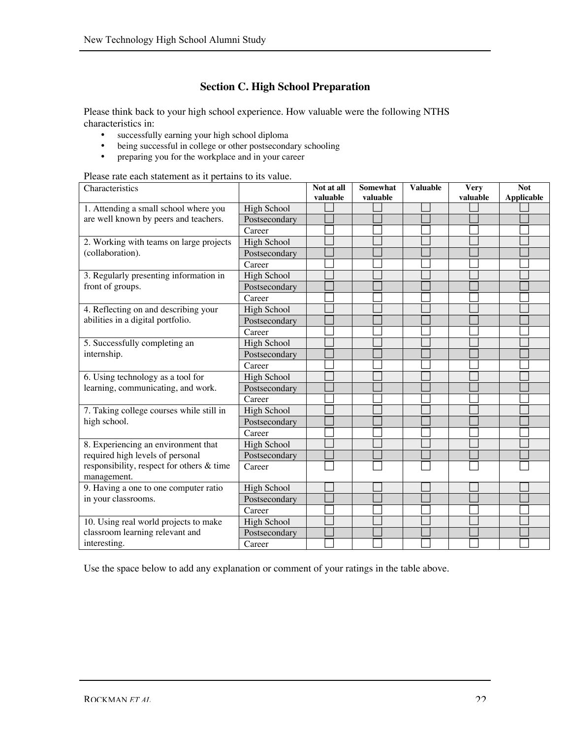## **Section C. High School Preparation**

Please think back to your high school experience. How valuable were the following NTHS characteristics in:

- successfully earning your high school diploma<br>• being successful in college or other postsecond
- being successful in college or other postsecondary schooling<br>• preparing you for the workplace and in your career
- preparing you for the workplace and in your career

Please rate each statement as it pertains to its value.

| Characteristics                           |                    | Not at all | <b>Somewhat</b> | <b>Valuable</b> | <b>Very</b> | <b>Not</b>        |
|-------------------------------------------|--------------------|------------|-----------------|-----------------|-------------|-------------------|
|                                           |                    | valuable   | valuable        |                 | valuable    | <b>Applicable</b> |
| 1. Attending a small school where you     | High School        |            |                 |                 |             |                   |
| are well known by peers and teachers.     | Postsecondary      |            |                 |                 |             |                   |
|                                           | Career             |            |                 |                 |             |                   |
| 2. Working with teams on large projects   | <b>High School</b> |            |                 |                 |             |                   |
| (collaboration).                          | Postsecondary      |            |                 |                 |             |                   |
|                                           | Career             |            |                 |                 |             |                   |
| 3. Regularly presenting information in    | High School        |            |                 |                 |             |                   |
| front of groups.                          | Postsecondary      |            |                 |                 |             |                   |
|                                           | Career             |            |                 |                 |             |                   |
| 4. Reflecting on and describing your      | <b>High School</b> |            |                 |                 |             |                   |
| abilities in a digital portfolio.         | Postsecondary      |            |                 |                 |             |                   |
|                                           | Career             |            |                 |                 |             |                   |
| 5. Successfully completing an             | High School        |            |                 |                 |             |                   |
| internship.                               | Postsecondary      |            |                 |                 |             |                   |
|                                           | Career             |            |                 |                 |             |                   |
| 6. Using technology as a tool for         | <b>High School</b> |            |                 |                 |             |                   |
| learning, communicating, and work.        | Postsecondary      |            |                 |                 |             |                   |
|                                           | Career             |            |                 |                 |             |                   |
| 7. Taking college courses while still in  | High School        |            |                 |                 |             |                   |
| high school.                              | Postsecondary      |            |                 |                 |             |                   |
|                                           | Career             |            |                 |                 |             |                   |
| 8. Experiencing an environment that       | High School        |            |                 |                 |             |                   |
| required high levels of personal          | Postsecondary      |            |                 |                 |             |                   |
| responsibility, respect for others & time | Career             |            |                 |                 |             |                   |
| management.                               |                    |            |                 |                 |             |                   |
| 9. Having a one to one computer ratio     | <b>High School</b> |            |                 |                 |             |                   |
| in your classrooms.                       | Postsecondary      |            |                 |                 |             |                   |
|                                           | Career             |            |                 |                 |             |                   |
| 10. Using real world projects to make     | <b>High School</b> |            |                 |                 |             |                   |
| classroom learning relevant and           | Postsecondary      |            |                 |                 |             |                   |
| interesting.                              | Career             |            |                 |                 |             |                   |

Use the space below to add any explanation or comment of your ratings in the table above.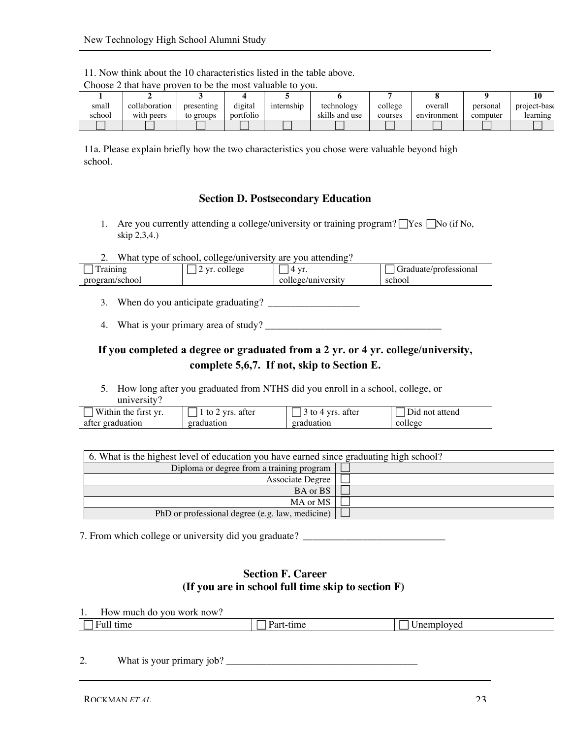|        | $\sim$ . The same $\sim$ is the set of the set of $\sim$ $\sim$ $\sim$ $\sim$ $\sim$ $\sim$ $\sim$<br>. |            |           |            |                |         |             |          |              |
|--------|---------------------------------------------------------------------------------------------------------|------------|-----------|------------|----------------|---------|-------------|----------|--------------|
|        |                                                                                                         |            |           |            |                |         |             |          |              |
| small  | collaboration                                                                                           | presenting | digital   | internship | technology     | college | overall     | personal | project-base |
| school | with peers                                                                                              | to groups  | portfolio |            | skills and use | courses | environment | computer | learning     |
|        |                                                                                                         |            |           |            |                |         |             |          |              |

11. Now think about the 10 characteristics listed in the table above.

Choose 2 that have proven to be the most valuable to you.

11a. Please explain briefly how the two characteristics you chose were valuable beyond high school.

#### **Section D. Postsecondary Education**

- 1. Are you currently attending a college/university or training program?  $\Box$  Yes  $\Box$  No (if No, skip 2,3,4.)
- 2. What type of school, college/university are you attending?

| $r_{01}$ nin $\alpha$      | $V$ r<br>college | $\mathbf{V}$<br>. . | :/professiona<br><i>raduate</i> |
|----------------------------|------------------|---------------------|---------------------------------|
| /school<br>0.480338<br>pro |                  | college/university  | school                          |

- 3. When do you anticipate graduating? \_\_\_\_\_\_\_\_\_\_\_\_\_\_\_\_\_\_\_\_
- 4. What is your primary area of study?  $\frac{1}{2}$

## **If you completed a degree or graduated from a 2 yr. or 4 yr. college/university, complete 5,6,7. If not, skip to Section E.**

5. How long after you graduated from NTHS did you enroll in a school, college, or university?

| Within the first vr.  | <b>Vrs</b><br>atter<br>TΩ | atter<br><b>V<sub>TC</sub></b> | not attend<br>лd |
|-----------------------|---------------------------|--------------------------------|------------------|
| graduation '<br>after | graduation                | graduation                     | college          |

| 6. What is the highest level of education you have earned since graduating high school? |  |  |  |  |
|-----------------------------------------------------------------------------------------|--|--|--|--|
| Diploma or degree from a training program                                               |  |  |  |  |
| Associate Degree                                                                        |  |  |  |  |
| BA or BS                                                                                |  |  |  |  |
| MA or MS                                                                                |  |  |  |  |
| PhD or professional degree (e.g. law, medicine)                                         |  |  |  |  |

7. From which college or university did you graduate? \_\_\_\_\_\_\_\_\_\_\_\_\_\_\_\_\_\_\_\_\_\_\_\_\_\_\_

#### **Section F. Career (If you are in school full time skip to section F)**

1. How much do you work now?

| 11<br>—<br>Fu<br>tıme | $\mathbf{m}$ e | loved<br>------ |
|-----------------------|----------------|-----------------|
|                       |                |                 |

2. What is your primary job? \_\_\_\_\_\_\_\_\_\_\_\_\_\_\_\_\_\_\_\_\_\_\_\_\_\_\_\_\_\_\_\_\_\_\_\_\_\_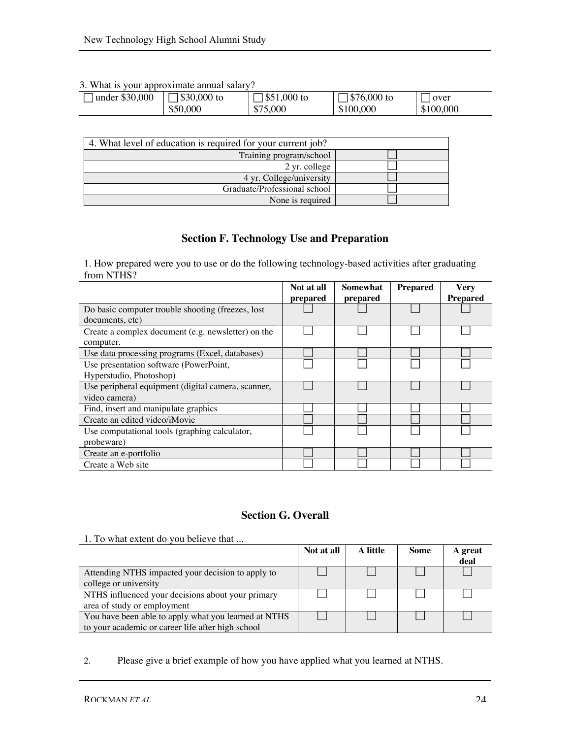#### 3. What is your approximate annual salary?

| ------------<br>----- |             |             |              |           |
|-----------------------|-------------|-------------|--------------|-----------|
| under \$30,000        | \$30,000 to | \$51,000 to | $$76,000$ to | over      |
|                       | \$50,000    | \$75,000    | \$100,000    | \$100,000 |

| 4. What level of education is required for your current job? |  |
|--------------------------------------------------------------|--|
| Training program/school                                      |  |
| 2 yr. college                                                |  |
| 4 yr. College/university                                     |  |
| Graduate/Professional school                                 |  |
| None is required                                             |  |

## **Section F. Technology Use and Preparation**

1. How prepared were you to use or do the following technology-based activities after graduating from NTHS?

|                                                    | Not at all | Somewhat | <b>Prepared</b> | <b>Very</b>     |
|----------------------------------------------------|------------|----------|-----------------|-----------------|
|                                                    | prepared   | prepared |                 | <b>Prepared</b> |
| Do basic computer trouble shooting (freezes, lost  |            |          |                 |                 |
| documents, etc)                                    |            |          |                 |                 |
| Create a complex document (e.g. newsletter) on the |            |          |                 |                 |
| computer.                                          |            |          |                 |                 |
| Use data processing programs (Excel, databases)    |            |          |                 |                 |
| Use presentation software (PowerPoint,             |            |          |                 |                 |
| Hyperstudio, Photoshop)                            |            |          |                 |                 |
| Use peripheral equipment (digital camera, scanner, |            |          |                 |                 |
| video camera)                                      |            |          |                 |                 |
| Find, insert and manipulate graphics               |            |          |                 |                 |
| Create an edited video/iMovie                      |            |          |                 |                 |
| Use computational tools (graphing calculator,      |            |          |                 |                 |
| probeware)                                         |            |          |                 |                 |
| Create an e-portfolio                              |            |          |                 |                 |
| Create a Web site                                  |            |          |                 |                 |

## **Section G. Overall**

1. To what extent do you believe that ...

|                                                      | Not at all | A little | Some | A great |
|------------------------------------------------------|------------|----------|------|---------|
|                                                      |            |          |      | deal    |
| Attending NTHS impacted your decision to apply to    |            |          |      |         |
| college or university                                |            |          |      |         |
| NTHS influenced your decisions about your primary    |            |          |      |         |
| area of study or employment                          |            |          |      |         |
| You have been able to apply what you learned at NTHS |            |          |      |         |
| to your academic or career life after high school    |            |          |      |         |

2. Please give a brief example of how you have applied what you learned at NTHS.